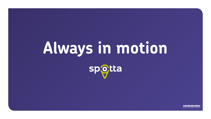# **Always in motion**spotta

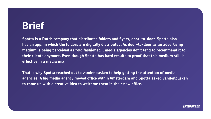### **Brief**

**Spotta is a Dutch company that distributes folders and flyers, door-to-door. Spotta also has an app, in which the folders are digitally distributed. As door-to-door as an advertising medium is being perceived as "old fashioned", media agencies don't tend to recommend it to their clients anymore. Even though Spotta has hard results to proof that this medium still is effective in a media mix.** 

**That is why Spotta reached out to vandenbusken to help getting the attention of media agencies. A big media agency moved office within Amsterdam and Spotta asked vandenbusken to come up with a creative idea to welcome them in their new office.** 

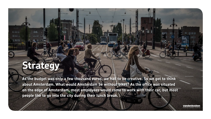## **Strategy**

1218

祖田田

**HI-HI-HI** 

**SUBDER** 

**As the budget was only a few thousand euros, we had to be creative. So we got to think about Amsterdam. What would Amsterdam be without bikes? As the office was situated on the edge of Amsterdam, most employees would come to work with their car, but most people like to go into the city during their lunch break.**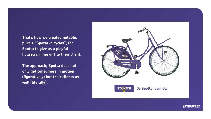**That's how we created notable, purple "Spotta-bicycles", for Spotta to give as a playful housewarming gift to their client.** 

**The approach; Spotta does not only get consumers in motion (figuratively) but their clients as well (literally)!**